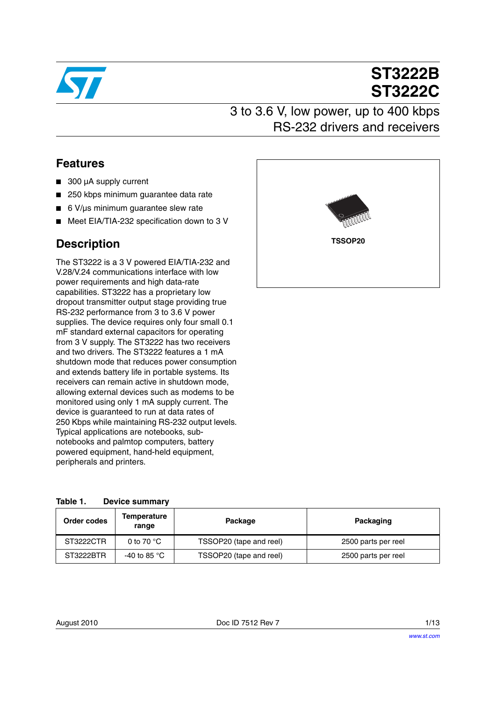

# **ST3222B ST3222C**

## 3 to 3.6 V, low power, up to 400 kbps RS-232 drivers and receivers

### **Features**

- 300 µA supply current
- 250 kbps minimum guarantee data rate
- 6 V/us minimum quarantee slew rate
- Meet EIA/TIA-232 specification down to 3 V

### **Description**

The ST3222 is a 3 V powered EIA/TIA-232 and V.28/V.24 communications interface with low power requirements and high data-rate capabilities. ST3222 has a proprietary low dropout transmitter output stage providing true RS-232 performance from 3 to 3.6 V power supplies. The device requires only four small 0.1 mF standard external capacitors for operating from 3 V supply. The ST3222 has two receivers and two drivers. The ST3222 features a 1 mA shutdown mode that reduces power consumption and extends battery life in portable systems. Its receivers can remain active in shutdown mode, allowing external devices such as modems to be monitored using only 1 mA supply current. The device is guaranteed to run at data rates of 250 Kbps while maintaining RS-232 output levels. Typical applications are notebooks, subnotebooks and palmtop computers, battery powered equipment, hand-held equipment, peripherals and printers.

| <b>Viene Address of the Company</b><br><b><i>PRODUCTION</i></b> |  |
|-----------------------------------------------------------------|--|
| <b>TSSOP20</b>                                                  |  |
|                                                                 |  |

<span id="page-0-0"></span>

| Table 1. | <b>Device summary</b> |
|----------|-----------------------|
|          |                       |

| Order codes | <b>Temperature</b><br>range | Package                 | Packaging           |
|-------------|-----------------------------|-------------------------|---------------------|
| ST3222CTR   | 0 to 70 $\degree$ C         | TSSOP20 (tape and reel) | 2500 parts per reel |
| ST3222BTR   | -40 to 85 $^{\circ}$ C      | TSSOP20 (tape and reel) | 2500 parts per reel |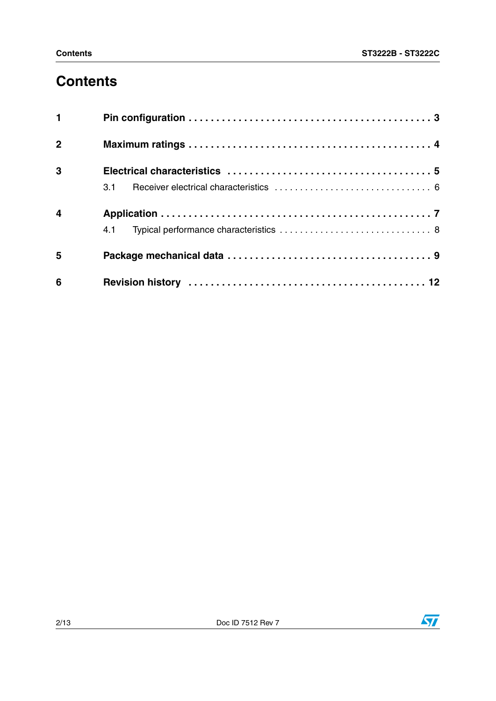## **Contents**

| $\mathbf{1}$     |     |  |
|------------------|-----|--|
| $\overline{2}$   |     |  |
| $\mathbf{3}$     |     |  |
|                  | 3.1 |  |
| $\boldsymbol{4}$ |     |  |
|                  |     |  |
| 5                |     |  |
| 6                |     |  |

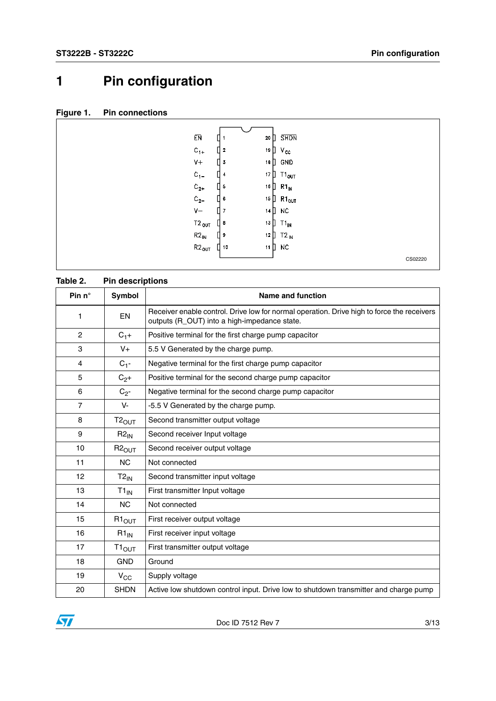## <span id="page-2-0"></span>**1 Pin configuration**



#### **Table 2. Pin descriptions**

| Pin $n^{\circ}$ | Symbol                     | <b>Name and function</b>                                                                                                                   |
|-----------------|----------------------------|--------------------------------------------------------------------------------------------------------------------------------------------|
| 1               | EN                         | Receiver enable control. Drive low for normal operation. Drive high to force the receivers<br>outputs (R_OUT) into a high-impedance state. |
| $\overline{c}$  | $C_{1}+$                   | Positive terminal for the first charge pump capacitor                                                                                      |
| 3               | $V_{+}$                    | 5.5 V Generated by the charge pump.                                                                                                        |
| 4               | $C_{1}$ -                  | Negative terminal for the first charge pump capacitor                                                                                      |
| 5               | $C_{2}+$                   | Positive terminal for the second charge pump capacitor                                                                                     |
| 6               | $C_{2}$ -                  | Negative terminal for the second charge pump capacitor                                                                                     |
| $\overline{7}$  | V-                         | -5.5 V Generated by the charge pump.                                                                                                       |
| 8               | $T2_{OUT}$                 | Second transmitter output voltage                                                                                                          |
| 9               | $R2_{IN}$                  | Second receiver Input voltage                                                                                                              |
| 10              | $R2_{OUT}$                 | Second receiver output voltage                                                                                                             |
| 11              | N <sub>C</sub>             | Not connected                                                                                                                              |
| 12              | $T2_{IN}$                  | Second transmitter input voltage                                                                                                           |
| 13              | $T1_{IN}$                  | First transmitter Input voltage                                                                                                            |
| 14              | <b>NC</b>                  | Not connected                                                                                                                              |
| 15              | $R1_{\text{OUT}}$          | First receiver output voltage                                                                                                              |
| 16              | $R1_{IN}$                  | First receiver input voltage                                                                                                               |
| 17              | $\mathsf{I1}_\mathsf{OUT}$ | First transmitter output voltage                                                                                                           |
| 18              | <b>GND</b>                 | Ground                                                                                                                                     |
| 19              | $V_{CC}$                   | Supply voltage                                                                                                                             |
| 20              | <b>SHDN</b>                | Active low shutdown control input. Drive low to shutdown transmitter and charge pump                                                       |

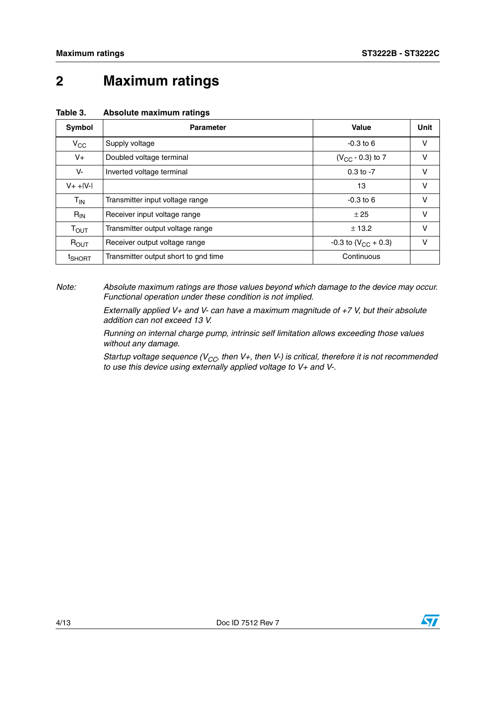## <span id="page-3-0"></span>**2 Maximum ratings**

| Symbol             | <b>Parameter</b>                     | Value                      | Unit   |
|--------------------|--------------------------------------|----------------------------|--------|
| $V_{CC}$           | Supply voltage                       | $-0.3$ to 6                | $\vee$ |
| $V_{+}$            | Doubled voltage terminal             | $(V_{CC} - 0.3)$ to 7      | V      |
| V-                 | Inverted voltage terminal            | $0.3$ to $-7$              | V      |
| $V+$ + $ V- $      |                                      | 13                         | V      |
| $T_{IN}$           | Transmitter input voltage range      | $-0.3$ to 6                | V      |
| $R_{IN}$           | Receiver input voltage range         | ± 25                       | V      |
| $T_{\text{OUT}}$   | Transmitter output voltage range     | ± 13.2                     | V      |
| $R_{OUT}$          | Receiver output voltage range        | $-0.3$ to $(V_{CC} + 0.3)$ | V      |
| <sup>t</sup> SHORT | Transmitter output short to gnd time | Continuous                 |        |

#### <span id="page-3-1"></span>**Table 3. Absolute maximum ratings**

*Note: Absolute maximum ratings are those values beyond which damage to the device may occur. Functional operation under these condition is not implied.*

> *Externally applied V+ and V- can have a maximum magnitude of +7 V, but their absolute addition can not exceed 13 V.*

> *Running on internal charge pump, intrinsic self limitation allows exceeding those values without any damage.*

*Startup voltage sequence (V<sub>CC</sub>, then V+, then V-) is critical, therefore it is not recommended to use this device using externally applied voltage to V+ and V-.*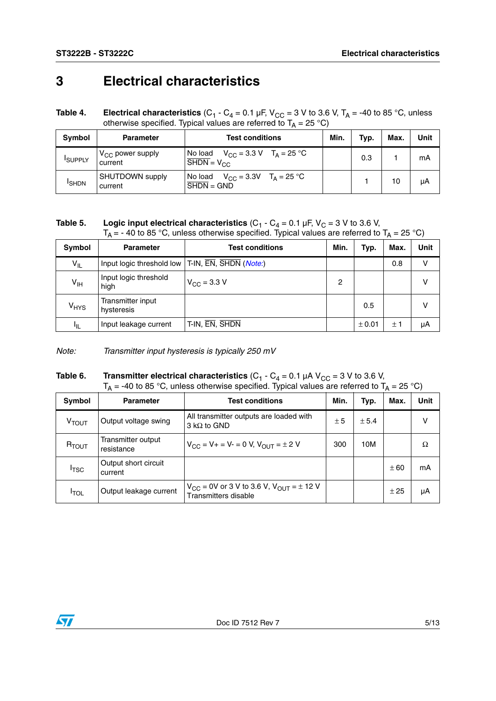## <span id="page-4-0"></span>**3 Electrical characteristics**

<span id="page-4-1"></span>**Table 4.** Electrical characteristics (C<sub>1</sub> - C<sub>4</sub> = 0.1 µF, V<sub>CC</sub> = 3 V to 3.6 V, T<sub>A</sub> = -40 to 85 °C, unless otherwise specified. Typical values are referred to T<sub>A</sub> = 25 °C)

| Symbol         | <b>Parameter</b>                 | <b>Test conditions</b>                                                            | Min. | Typ. | Max. | <b>Unit</b> |
|----------------|----------------------------------|-----------------------------------------------------------------------------------|------|------|------|-------------|
| <b>ISUPPLY</b> | $V_{CC}$ power supply<br>current | $V_{CC}$ = 3.3 V T <sub>A</sub> = 25 °C<br>No load<br>$V_{\rm CC}$                |      | 0.3  |      | mA          |
| <b>ISHDN</b>   | SHUTDOWN supply<br>current       | $V_{CC} = 3.3V$ $T_A = 25 °C$<br>No load<br>$\overline{\text{SHDN}} = \text{GND}$ |      |      | 10   | μA          |

**Table 5.** Logic input electrical characteristics  $(C_1 - C_4 = 0.1 \,\mu\text{F}, V_C = 3 \,\text{V}$  to 3.6 V,  $T_A$  = - 40 to 85 °C, unless otherwise specified. Typical values are referred to T<sub>A</sub> = 25 °C)

| Symbol           | <b>Parameter</b>                                   | <b>Test conditions</b>       | Min. | Typ.   | Max. | <b>Unit</b> |
|------------------|----------------------------------------------------|------------------------------|------|--------|------|-------------|
| $V_{IL}$         | Input logic threshold low   T-IN, EN, SHDN (Note:) |                              |      |        | 0.8  | v           |
| $V_{\text{IH}}$  | Input logic threshold<br>high                      | $V_{\rm CC} = 3.3 \text{ V}$ | 2    |        |      | v           |
| V <sub>HYS</sub> | Transmitter input<br>hysteresis                    |                              |      | 0.5    |      | v           |
| ΠL.              | Input leakage current                              | T-IN, EN, SHDN               |      | ± 0.01 | ±1   | μA          |

*Note: Transmitter input hysteresis is typically 250 mV*

**Table 6.** Transmitter electrical characteristics  $(C_1 - C_4 = 0.1 \mu A V_{CC} = 3 V$  to 3.6 V,  $T_A$  = -40 to 85 °C, unless otherwise specified. Typical values are referred to  $T_A$  = 25 °C)

| Symbol            | <b>Parameter</b>                 | <b>Test conditions</b>                                                        | Min. | Typ.  | Max. | Unit |
|-------------------|----------------------------------|-------------------------------------------------------------------------------|------|-------|------|------|
| V <sub>TOUT</sub> | Output voltage swing             | All transmitter outputs are loaded with<br>$3 \text{ k}\Omega$ to GND         | ± 5  | ± 5.4 |      |      |
| $R_{TOUT}$        | Transmitter output<br>resistance | $V_{CC} = V_+ = V_- = 0 V$ , $V_{OU}T = \pm 2 V$                              | 300  | 10M   |      | Ω    |
| I <sub>TSC</sub>  | Output short circuit<br>current  |                                                                               |      |       | ± 60 | mA   |
| <b>I</b> TOL      | Output leakage current           | $V_{CC}$ = 0V or 3 V to 3.6 V, $V_{OUT}$ = $\pm$ 12 V<br>Transmitters disable |      |       | ±25  | μA   |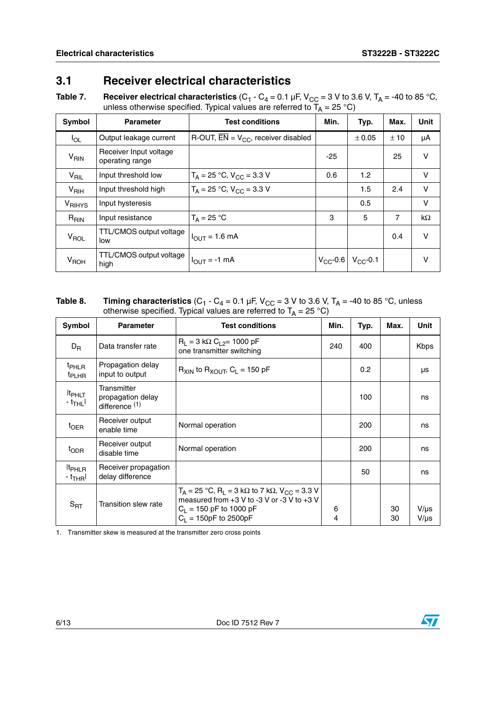#### <span id="page-5-0"></span>**3.1 Receiver electrical characteristics**

**Table 7. Receiver electrical characteristics** (C<sub>1</sub> - C<sub>4</sub> = 0.1 µF, V<sub>CC</sub> = 3 V to 3.6 V, T<sub>A</sub> = -40 to 85 °C, unless otherwise specified. Typical values are referred to T<sub>A</sub> = 25 °C)

| Symbol             | <b>Parameter</b>                          | <b>Test conditions</b>                              | Min.  | Typ.                        | Max. | <b>Unit</b> |
|--------------------|-------------------------------------------|-----------------------------------------------------|-------|-----------------------------|------|-------------|
| $I_{OL}$           | Output leakage current                    | R-OUT, $\overline{EN} = V_{CC}$ , receiver disabled |       | ± 0.05                      | ±10  | μA          |
| V <sub>RIN</sub>   | Receiver Input voltage<br>operating range |                                                     | $-25$ |                             | 25   | v           |
| V <sub>RIL</sub>   | Input threshold low                       | $T_A = 25 °C$ , $V_{CC} = 3.3 V$                    | 0.6   | 1.2                         |      | v           |
| $V_{\text{RIH}}$   | Input threshold high                      | $T_A = 25 °C$ , $V_{CC} = 3.3 V$                    |       | 1.5                         | 2.4  | V           |
| V <sub>RIHYS</sub> | Input hysteresis                          |                                                     |       | 0.5                         |      | $\vee$      |
| $R_{\text{RIN}}$   | Input resistance                          | $T_A = 25 °C$                                       | 3     | 5                           | 7    | kΩ          |
| V <sub>ROL</sub>   | TTL/CMOS output voltage<br>low            | $I_{\text{OUT}} = 1.6 \text{ mA}$                   |       |                             | 0.4  | v           |
| V <sub>ROH</sub>   | TTL/CMOS output voltage<br>high           | $I_{\text{OUT}} = -1 \text{ mA}$                    |       | $V_{CC}$ -0.6 $V_{CC}$ -0.1 |      | v           |

#### **Table 8.** Timing characteristics (C<sub>1</sub> - C<sub>4</sub> = 0.1 µF, V<sub>CC</sub> = 3 V to 3.6 V, T<sub>A</sub> = -40 to 85 °C, unless otherwise specified. Typical values are referred to T<sub>A</sub> = 25 °C)

| Symbol                                          | <b>Parameter</b>                                              | <b>Test conditions</b>                                                                                                                                                 | Min.   | Typ. | Max.     | Unit                   |
|-------------------------------------------------|---------------------------------------------------------------|------------------------------------------------------------------------------------------------------------------------------------------------------------------------|--------|------|----------|------------------------|
| $D_{R}$                                         | Data transfer rate                                            | $R_1 = 3 k\Omega C_{12} = 1000 pF$<br>one transmitter switching                                                                                                        | 240    | 400  |          | <b>Kbps</b>            |
| <sup>t</sup> PHLR<br><sup>t</sup> PLHR          | Propagation delay<br>input to output                          | $R_{XIN}$ to $R_{XOUT}$ , $C_L = 150$ pF                                                                                                                               |        | 0.2  |          | μs                     |
| <b>It<sub>PHLT</sub></b><br>$-t_{\mathsf{THL}}$ | Transmitter<br>propagation delay<br>difference <sup>(1)</sup> |                                                                                                                                                                        |        | 100  |          | ns                     |
| $t_{OER}$                                       | Receiver output<br>enable time                                | Normal operation                                                                                                                                                       |        | 200  |          | ns                     |
| t <sub>ODR</sub>                                | Receiver output<br>disable time                               | Normal operation                                                                                                                                                       |        | 200  |          | ns                     |
| <sup>It</sup> PHLR<br>- t <sub>THR</sub> I      | Receiver propagation<br>delay difference                      |                                                                                                                                                                        |        | 50   |          | ns                     |
| $S_{\mathsf{RT}}$                               | Transition slew rate                                          | $T_A = 25$ °C, $R_L = 3$ kΩ to 7 kΩ, V <sub>CC</sub> = 3.3 V<br>measured from $+3$ V to -3 V or -3 V to $+3$ V<br>$C_1$ = 150 pF to 1000 pF<br>$C_1 = 150pF$ to 2500pF | 6<br>4 |      | 30<br>30 | $V/\mu s$<br>$V/\mu s$ |

1. Transmitter skew is measured at the transmitter zero cross points



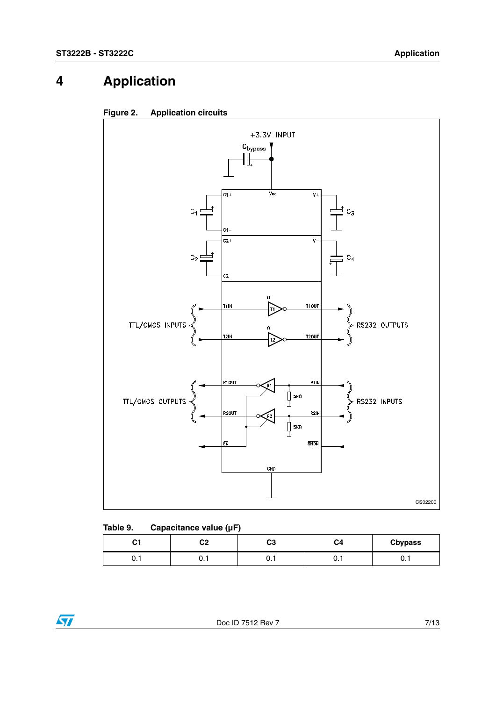## <span id="page-6-0"></span>**4 Application**





| Table 9. | Capacitance value (µF) |  |
|----------|------------------------|--|
|          |                        |  |

| $\sim$<br>vı | ົ<br>∽ | nn.<br>vJ | C4   | <b>Cbypass</b> |
|--------------|--------|-----------|------|----------------|
| ∪. ı         | ◡. ៲   | ∪. ı      | ∪. ı | ັບ. .          |

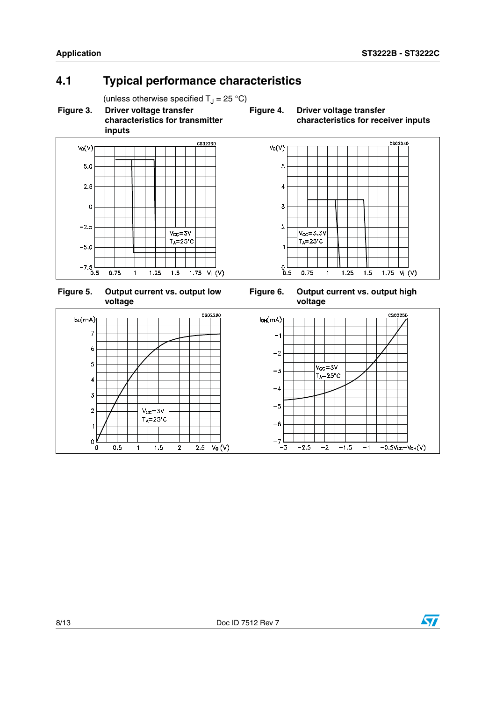CS02240

### <span id="page-7-0"></span>**4.1 Typical performance characteristics**

(unless otherwise specified  $T_J = 25 \degree C$ )<br>Driver voltage transfer<br>Figure 4.

**Figure 3. Driver voltage transfer characteristics for transmitter inputs**

**Driver voltage transfer characteristics for receiver inputs**







**Figure 6. Output current vs. output high voltage**



 $V_0(V)$ 

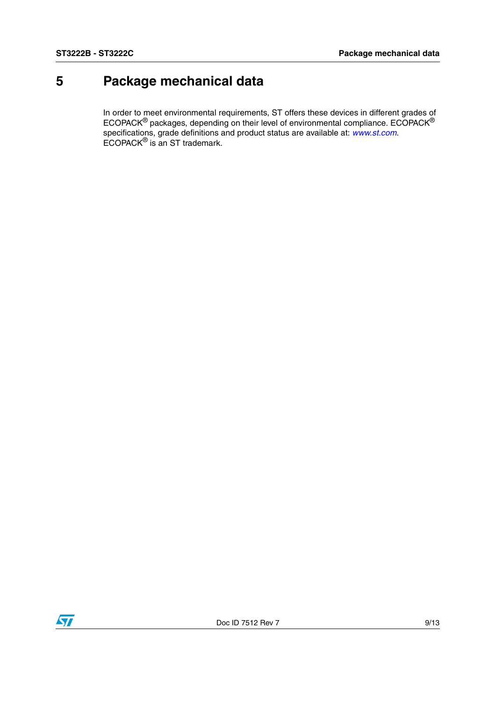## <span id="page-8-0"></span>**5 Package mechanical data**

In order to meet environmental requirements, ST offers these devices in different grades of ECOPACK $^{\circledR}$  packages, depending on their level of environmental compliance. ECOPACK $^{\circledR}$ specifications, grade definitions and product status are available at: *[www.st.com](http://www.st.com)*. ECOPACK® is an ST trademark.

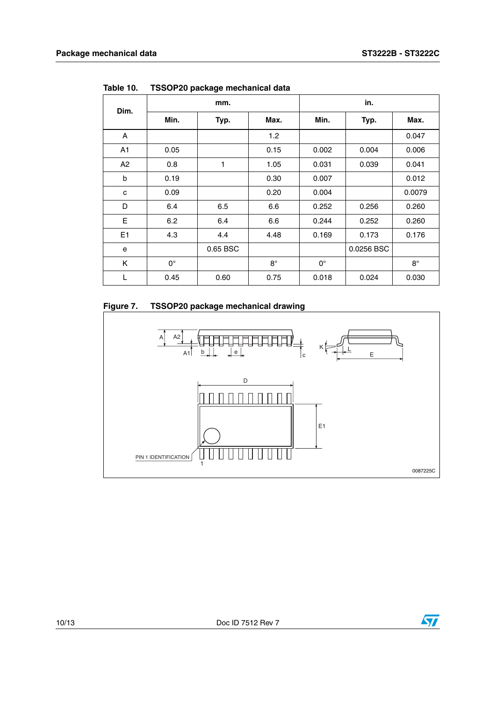| Dim.           | mm.         |          |             | in.         |            |             |
|----------------|-------------|----------|-------------|-------------|------------|-------------|
|                | Min.        | Typ.     | Max.        | Min.        | Typ.       | Max.        |
| A              |             |          | 1.2         |             |            | 0.047       |
| A <sub>1</sub> | 0.05        |          | 0.15        | 0.002       | 0.004      | 0.006       |
| A2             | 0.8         | 1        | 1.05        | 0.031       | 0.039      | 0.041       |
| b              | 0.19        |          | 0.30        | 0.007       |            | 0.012       |
| C              | 0.09        |          | 0.20        | 0.004       |            | 0.0079      |
| D              | 6.4         | 6.5      | 6.6         | 0.252       | 0.256      | 0.260       |
| E              | 6.2         | 6.4      | 6.6         | 0.244       | 0.252      | 0.260       |
| E1             | 4.3         | 4.4      | 4.48        | 0.169       | 0.173      | 0.176       |
| е              |             | 0.65 BSC |             |             | 0.0256 BSC |             |
| K              | $0^{\circ}$ |          | $8^{\circ}$ | $0^{\circ}$ |            | $8^{\circ}$ |
| L              | 0.45        | 0.60     | 0.75        | 0.018       | 0.024      | 0.030       |

**Table 10. TSSOP20 package mechanical data**

#### **Figure 7. TSSOP20 package mechanical drawing**



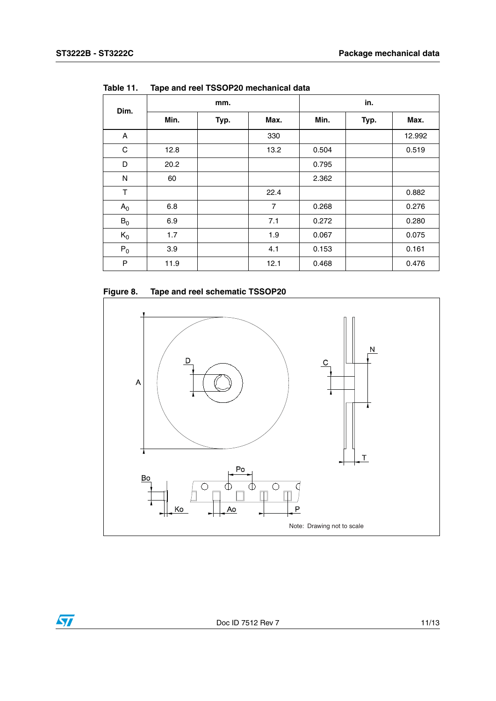| Dim.        | mm.  |      |                | in.   |      |        |
|-------------|------|------|----------------|-------|------|--------|
|             | Min. | Typ. | Max.           | Min.  | Typ. | Max.   |
| A           |      |      | 330            |       |      | 12.992 |
| $\mathsf C$ | 12.8 |      | 13.2           | 0.504 |      | 0.519  |
| D           | 20.2 |      |                | 0.795 |      |        |
| N           | 60   |      |                | 2.362 |      |        |
| T           |      |      | 22.4           |       |      | 0.882  |
| $A_0$       | 6.8  |      | $\overline{7}$ | 0.268 |      | 0.276  |
| $B_0$       | 6.9  |      | 7.1            | 0.272 |      | 0.280  |
| $K_0$       | 1.7  |      | 1.9            | 0.067 |      | 0.075  |
| $P_0$       | 3.9  |      | 4.1            | 0.153 |      | 0.161  |
| P           | 11.9 |      | 12.1           | 0.468 |      | 0.476  |

**Table 11. Tape and reel TSSOP20 mechanical data**



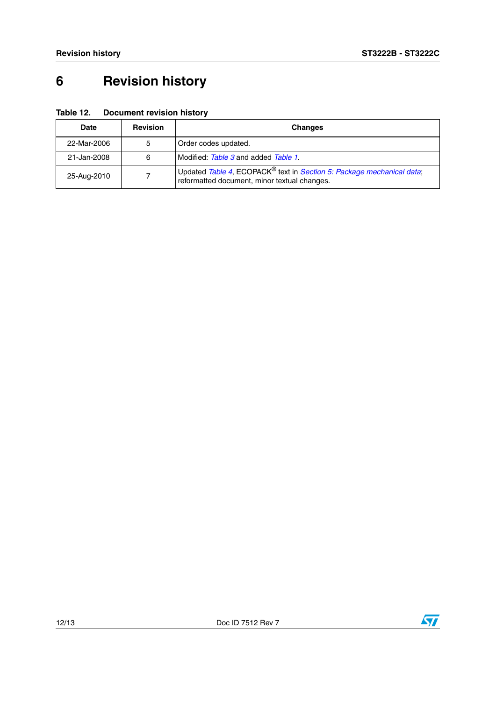## <span id="page-11-0"></span>**6 Revision history**

| Table 12. | <b>Document revision history</b> |  |
|-----------|----------------------------------|--|
|-----------|----------------------------------|--|

| <b>Date</b> | <b>Revision</b> | <b>Changes</b>                                                                                                                    |
|-------------|-----------------|-----------------------------------------------------------------------------------------------------------------------------------|
| 22-Mar-2006 | 5               | Order codes updated.                                                                                                              |
| 21-Jan-2008 | 6               | Modified: Table 3 and added Table 1.                                                                                              |
| 25-Aug-2010 |                 | Updated Table 4, ECOPACK <sup>®</sup> text in Section 5: Package mechanical data;<br>reformatted document, minor textual changes. |